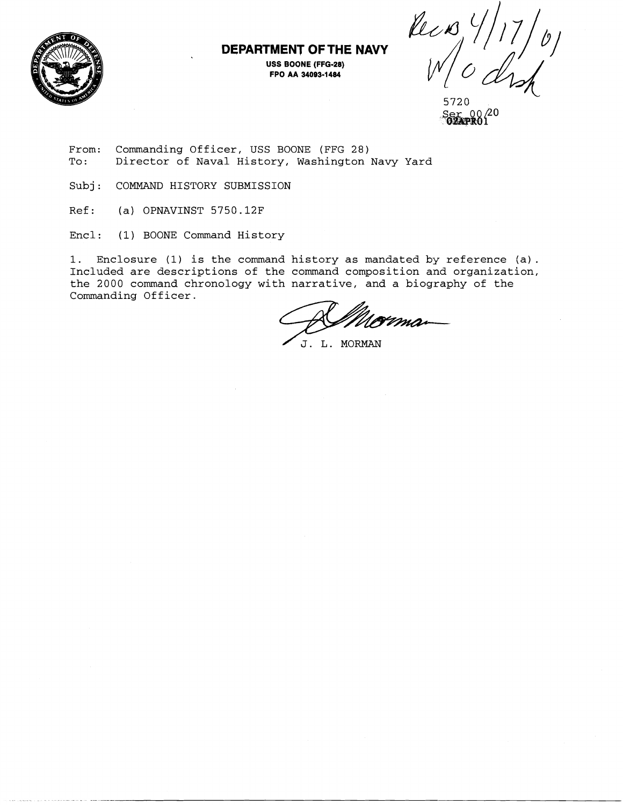

## **DEPARTMENT OF THE NAVY USS BOONE (FFG-28)**

**FPO AA 34093-1484** 

Reco  $\frac{1}{\sqrt{2}}$ 

From: Commanding Officer, USS BOONE (FFG 28)<br>To: Director of Naval History, Washington Director of Naval History, Washington Navy Yard

Subj: COMMAND HISTORY SUBMISSION

Ref: (a) OPNAVINST 5750.12F

Encl: (1) BOONE Command History

1. Enclosure (1) is the command history as mandated by reference  $(a)$ . Included are descriptions of the command composition and organization, the 2000 command chronology with narrative, and a biography of the Commanding Officer.

J. L. MORMAN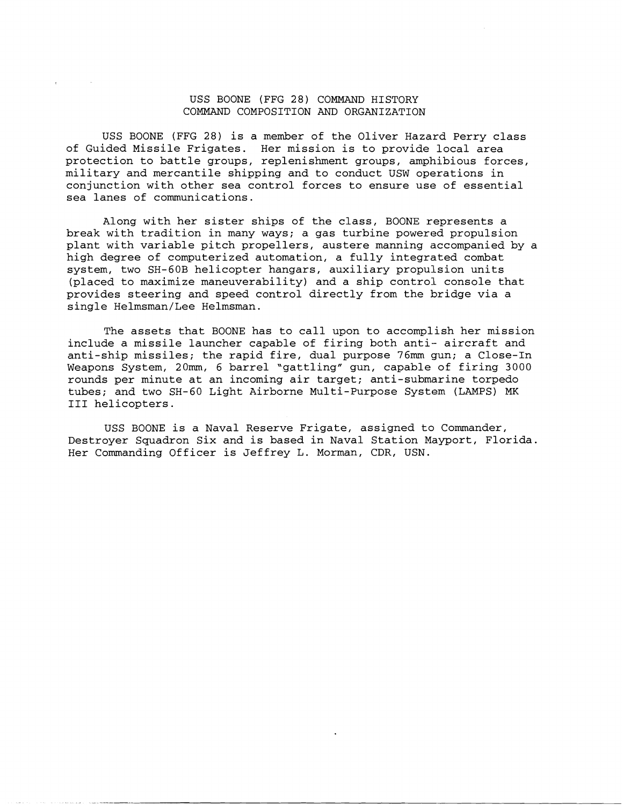## USS BOONE (FFG 28) COMMAND HISTORY COMMAND COMPOSITION AND ORGANIZATION

USS BOONE (FFG 28) is a member of the Oliver Hazard Perry class of Guided Missile Frigates. Her mission is to provide local area protection to battle groups, replenishment groups, amphibious forces, military and mercantile shipping and to conduct USW operations in conjunction with other sea control forces to ensure use of essential sea lanes of communications.

Along with her sister ships of the class, BOONE represents a break with tradition in many ways; a gas turbine powered propulsion plant with variable pitch propellers, austere manning accompanied by a high degree of computerized automation, a fully integrated combat system, two SH-GOB helicopter hangars, auxiliary propulsion units (placed to maximize maneuverability) and a ship control console that provides steering and speed control directly from the bridge via a single Helmsman/Lee Helmsman.

The assets that BOONE has to call upon to accomplish her mission include a missile launcher capable of firing both anti- aircraft and anti-ship missiles; the rapid fire, dual purpose 76mm gun; a Close-In Weapons System, 20mm, 6 barrel "gattling" gun, capable of firing 3000 rounds per minute at an incoming air target; anti-submarine torpedo tubes; and two SH-60 Light Airborne Multi-Purpose System (LAMPS) MK I11 helicopters.

USS BOONE is a Naval Reserve Frigate, assigned to Commander, Destroyer Squadron Six and is based in Naval Station Mayport, Florida. Her Commanding Officer is Jeffrey L. Morman, CDR, USN.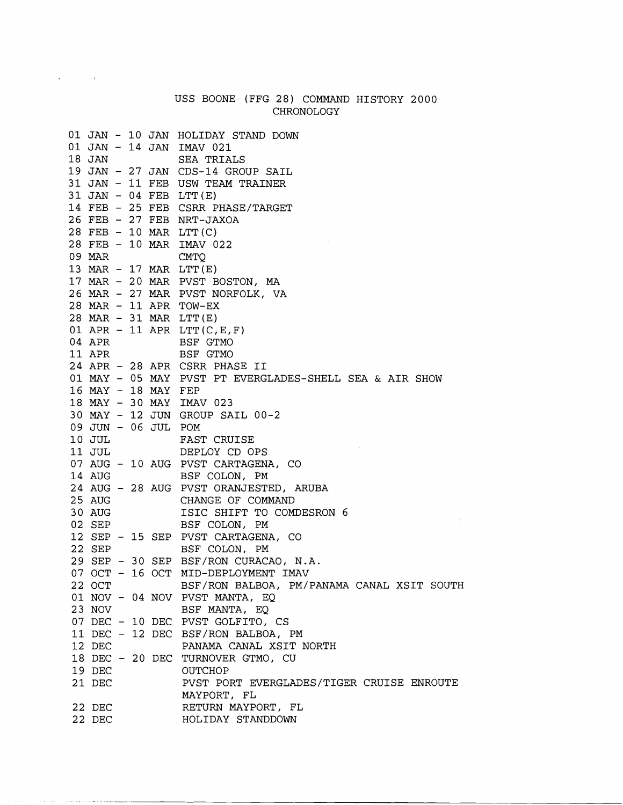## USS BOONE (FFG 28) COMMAND HISTORY 2000 CHRONOLOGY

 $\mathbf{v} = \mathbf{v} \times \mathbf{v}$  . In the  $\mathbf{v}$ 

 $\hat{\alpha}$  , and  $\hat{\alpha}$  , and  $\hat{\alpha}$  , and  $\hat{\alpha}$  , and  $\hat{\alpha}$  , and  $\hat{\alpha}$  , and  $\hat{\alpha}$  , and  $\hat{\alpha}$ 

|             |  |                     | 01 JAN - 10 JAN HOLIDAY STAND DOWN<br>01 JAN - 14 JAN IMAV 021 |
|-------------|--|---------------------|----------------------------------------------------------------|
| 18 JAN      |  |                     | SEA TRIALS                                                     |
|             |  |                     | 19 JAN - 27 JAN CDS-14 GROUP SAIL                              |
|             |  |                     | 31 JAN - 11 FEB USW TEAM TRAINER                               |
|             |  |                     | $31$ JAN - 04 FEB LTT(E)                                       |
|             |  |                     | 14 FEB - 25 FEB CSRR PHASE/TARGET                              |
|             |  |                     | 26 FEB - 27 FEB NRT-JAXOA                                      |
|             |  |                     | 28 FEB - 10 MAR LTT(C)                                         |
|             |  |                     | 28 FEB - 10 MAR IMAV 022                                       |
| 09 MAR      |  |                     | <b>CMTO</b>                                                    |
|             |  |                     | 13 MAR - 17 MAR LTT(E)                                         |
|             |  |                     | 17 MAR - 20 MAR PVST BOSTON, MA                                |
|             |  |                     | 26 MAR - 27 MAR PVST NORFOLK, VA                               |
|             |  |                     | 28 MAR - 11 APR TOW-EX                                         |
|             |  |                     | 28 MAR $-$ 31 MAR LTT(E)                                       |
|             |  |                     | 01 APR - 11 APR LTT( $C, E, F$ )                               |
| 04 APR 2014 |  |                     | BSF GTMO                                                       |
| 11 APR      |  |                     | BSF GTMO                                                       |
|             |  |                     | 24 APR - 28 APR CSRR PHASE II                                  |
|             |  |                     | 01 MAY - 05 MAY PVST PT EVERGLADES-SHELL SEA & AIR SHOW        |
|             |  | 16 MAY - 18 MAY FEP |                                                                |
|             |  |                     | 18 MAY - 30 MAY IMAV 023                                       |
|             |  |                     | 30 MAY - 12 JUN GROUP SAIL 00-2                                |
|             |  | 09 JUN - 06 JUL POM |                                                                |
| 10 JUL      |  |                     | FAST CRUISE                                                    |
| 11 JUL      |  |                     | DEPLOY CD OPS                                                  |
|             |  |                     | 07 AUG - 10 AUG PVST CARTAGENA, CO                             |
| 14 AUG      |  |                     | BSF COLON, PM                                                  |
|             |  |                     | 24 AUG - 28 AUG PVST ORANJESTED, ARUBA                         |
| 25 AUG      |  |                     | CHANGE OF COMMAND                                              |
| 30 AUG      |  |                     | ISIC SHIFT TO COMDESRON 6                                      |
| 02 SEP      |  |                     | BSF COLON, PM                                                  |
|             |  |                     | 12 SEP - 15 SEP PVST CARTAGENA, CO                             |
| 22 SEP      |  |                     | BSF COLON, PM                                                  |
|             |  |                     | 29 SEP - 30 SEP BSF/RON CURACAO, N.A.                          |
|             |  |                     | 07 OCT - 16 OCT MID-DEPLOYMENT IMAV                            |
| 22 OCT      |  |                     | BSF/RON BALBOA, PM/PANAMA CANAL XSIT SOUTH                     |
|             |  |                     | 01 NOV - 04 NOV PVST MANTA, EQ                                 |
| 23 NOV      |  |                     | BSF MANTA, EQ                                                  |
|             |  |                     | 07 DEC - 10 DEC PVST GOLFITO, CS                               |
|             |  |                     | 11 DEC - 12 DEC BSF/RON BALBOA, PM                             |
| 12 DEC      |  |                     | PANAMA CANAL XSIT NORTH                                        |
|             |  |                     | 18 DEC - 20 DEC TURNOVER GTMO, CU                              |
| 19 DEC      |  |                     | OUTCHOP                                                        |
| 21 DEC      |  |                     | PVST PORT EVERGLADES/TIGER CRUISE ENROUTE                      |
|             |  |                     | MAYPORT, FL                                                    |
| 22 DEC      |  |                     | RETURN MAYPORT, FL                                             |
| 22 DEC      |  |                     | HOLIDAY STANDDOWN                                              |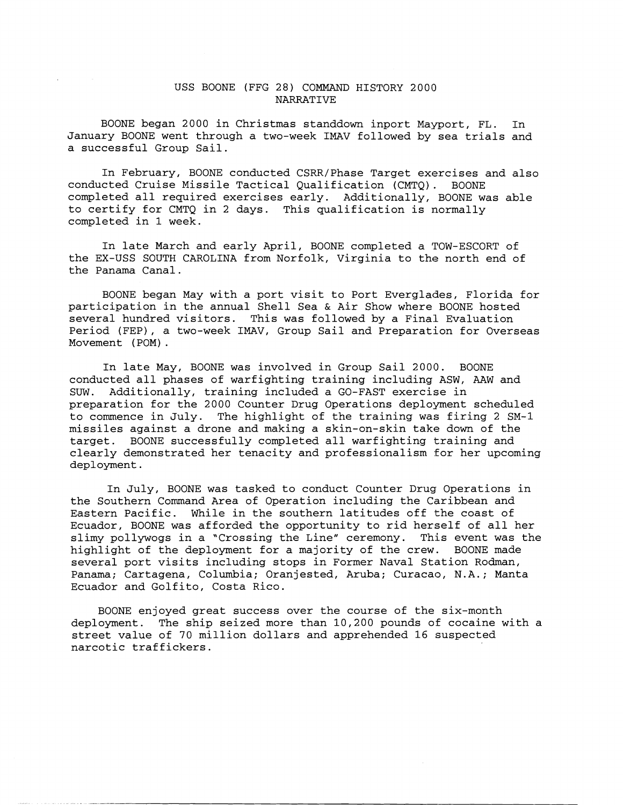## USS BOONE (FFG 28) COMMAND HISTORY 2000 NARRATIVE

BOONE began 2000 in Christmas standdown inport Mayport, FL. In January BOONE went through a two-week IMAV followed by sea trials and a successful Group Sail.

In February, BOONE conducted CSRR/Phase Target exercises and also conducted Cruise Missile Tactical Qualification (CMTQ). BOONE completed all required exercises early. Additionally, BOONE was able to certify for CMTQ in 2 days. This qualification is normally completed in 1 week.

In late March and early April, BOONE completed a TOW-ESCORT of the EX-USS SOUTH CAROLINA from Norfolk, Virginia to the north end of the Panama Canal.

BOONE began May with a port visit to Port Everglades, Florida for participation in the annual Shell Sea & Air Show where BOONE hosted several hundred visitors. This was followed by a Final Evaluation Period (FEP), a two-week IMAV, Group Sail and Preparation for Overseas Movement ( POM) .

In late May, BOONE was involved in Group Sail 2000. BOONE conducted all phases of warfighting training including ASW, AAW and SUW. Additionally, training included a GO-FAST exercise in preparation for the 2000 Counter Drug Operations deployment scheduled to commence in July. The highlight of the training was firing 2 SM-1 missiles against a drone and making a skin-on-skin take down of the target. BOONE successfully completed all warfighting training and clearly demonstrated her tenacity and professionalism for her upcoming deployment.

In July, BOONE was tasked to conduct Counter Drug Operations in the Southern Command Area of Operation including the Caribbean and Eastern Pacific. While in the southern latitudes off the coast of Ecuador, BOONE was afforded the opportunity to rid herself of all her slimy pollywogs in a "Crossing the Line" ceremony. This event was the highlight of the deployment for a majority of the crew. BOONE made several port visits including stops in Former Naval Station Rodman, Panama; Cartagena, Columbia; Oranjested, Aruba; Curacao, N.A.; Manta Ecuador and Golfito, Costa Rico.

BOONE enjoyed great success over the course of the six-month deployment. The ship seized more than 10,200 pounds of cocaine with a street value of 70 million dollars and apprehended 16 suspected narcotic traffickers.